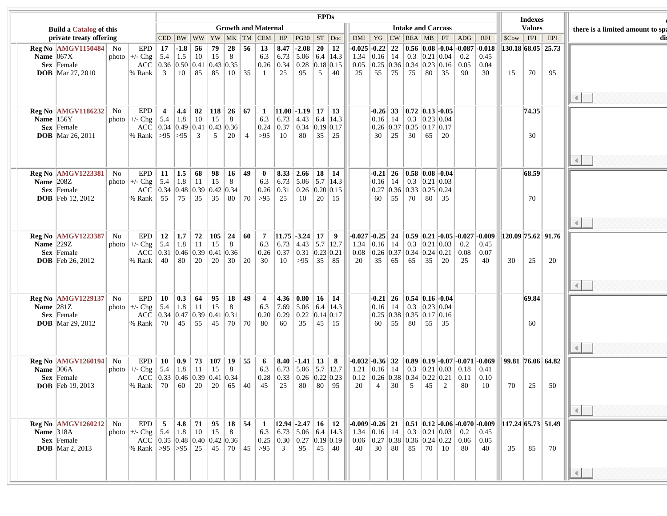|                                |  |                                                                                                    |    |                                                                                                                                                                                                        |                      |                            |                  |                                                                                               |         |                     |                                |                |                                                                                                                                                                                          | <b>EPDs</b>         |            |    |                                                                                                              |  |                                      |  |                                                                                                                                                                                                  |                                 |                                                                                                                                                                                                              |  |    | <b>Indexes</b>             |                               |                                  |
|--------------------------------|--|----------------------------------------------------------------------------------------------------|----|--------------------------------------------------------------------------------------------------------------------------------------------------------------------------------------------------------|----------------------|----------------------------|------------------|-----------------------------------------------------------------------------------------------|---------|---------------------|--------------------------------|----------------|------------------------------------------------------------------------------------------------------------------------------------------------------------------------------------------|---------------------|------------|----|--------------------------------------------------------------------------------------------------------------|--|--------------------------------------|--|--------------------------------------------------------------------------------------------------------------------------------------------------------------------------------------------------|---------------------------------|--------------------------------------------------------------------------------------------------------------------------------------------------------------------------------------------------------------|--|----|----------------------------|-------------------------------|----------------------------------|
| <b>Build a Catalog of this</b> |  |                                                                                                    |    |                                                                                                                                                                                                        |                      | <b>Growth and Maternal</b> |                  |                                                                                               |         |                     |                                |                |                                                                                                                                                                                          |                     |            |    | <b>Intake and Carcass</b>                                                                                    |  |                                      |  |                                                                                                                                                                                                  |                                 |                                                                                                                                                                                                              |  |    | <b>Values</b>              |                               | there is a limited amount to spa |
|                                |  | private treaty offering                                                                            |    |                                                                                                                                                                                                        |                      |                            |                  |                                                                                               |         |                     |                                |                | CED   BW   WW   YW   MK   TM   CEM   HP   PG30   ST   Doc                                                                                                                                |                     |            |    |                                                                                                              |  |                                      |  |                                                                                                                                                                                                  |                                 | $DMI$   YG   CW   REA   MB   FT   ADG   RFI                                                                                                                                                                  |  |    | $ \mathcal{SC}ow $ FPI EPI |                               | dis                              |
|                                |  | $\text{Reg No}$  AMGV1150484   No<br>Name $ 067X $<br><b>Sex</b> Female<br><b>DOB</b> Mar 27, 2010 |    | EPD<br>photo $\left +\right $ - Chg $\left 5.4\right $<br>% Rank                                                                                                                                       | 17<br>$\overline{3}$ | $-1.8$ 56                  | $1.5 \,   \, 10$ | $15 \mid 8$<br>ACC 0.36 0.50 0.41 0.43 0.35<br>  10   85   85   10   35   1                   | 79   28 | $\vert 56 \vert 13$ |                                | 25             | $\ 8.47\ $ -2.08 $\ 20\ $ 12<br>6.3 6.73 5.06 6.4 14.3<br>$\vert 0.26 \vert \vert 0.34 \vert \vert 0.28 \vert 0.18 \vert 0.15 \vert$<br>95                                               | $5-1$               | $\vert$ 40 | 25 | 1.34 $\vert 0.16 \vert 14 \vert 0.3 \vert 0.21 \vert 0.04 \vert 0.2$                                         |  | 55 75 75 80 35                       |  |                                                                                                                                                                                                  | 90                              | $-0.025$ $-0.22$   22   0.56   0.08   -0.04   -0.087   -0.018<br>$\vert 0.45 \vert$<br>$0.05$   0.25   0.36   0.34   0.23   0.16   0.05   0.04<br>30                                                         |  | 15 | 70                         | 130.18 68.05 25.73<br>95      |                                  |
|                                |  |                                                                                                    |    |                                                                                                                                                                                                        |                      |                            |                  |                                                                                               |         |                     |                                |                |                                                                                                                                                                                          |                     |            |    |                                                                                                              |  |                                      |  |                                                                                                                                                                                                  |                                 |                                                                                                                                                                                                              |  |    |                            |                               | $\left  4 \right $               |
|                                |  | $\text{Reg No}$  AMGV1186232   No<br>Name $ 156Y $<br><b>Sex</b> Female<br><b>DOB</b> Mar 26, 2011 |    | <b>EPD</b><br>photo $\left +\right $ - Chg $\left 5.4\right $ 1.8 $\left 10\right $<br>% Rank   > 95   > 95   3   5   20   4   > 95                                                                    | $\overline{4}$       |                            |                  | 4.4 82 118 26 67 1<br>$15 \mid 8$<br>ACC 0.34 0.49 0.41 0.43 0.36                             |         |                     | 6.3                            | 10             | $ 11.08  - 1.19  17   13$<br>$\vert 6.73 \vert 4.43 \vert 6.4 \vert 14.3$<br>$\vert 0.24 \vert 0.37 \vert 0.34 \vert 0.19 \vert 0.17$<br>80 35 25                                        |                     |            |    |                                                                                                              |  | $30 \mid 25 \mid 30 \mid 65 \mid 20$ |  | $\left  -0.26 \right $ 33 $\left  0.72 \right $ 0.13 $\left  -0.05 \right $<br>$\vert 0.16 \vert 14 \vert 0.3 \vert 0.23 \vert 0.04$<br>$\vert 0.26 \vert 0.37 \vert 0.35 \vert 0.17 \vert 0.17$ |                                 |                                                                                                                                                                                                              |  |    | 74.35<br>30                |                               |                                  |
|                                |  |                                                                                                    |    |                                                                                                                                                                                                        |                      |                            |                  |                                                                                               |         |                     |                                |                |                                                                                                                                                                                          |                     |            |    |                                                                                                              |  |                                      |  |                                                                                                                                                                                                  |                                 |                                                                                                                                                                                                              |  |    |                            |                               |                                  |
|                                |  | <b>Reg No  AMGV1223381  </b><br>Name $ 208Z $<br>Sex Female<br><b>DOB</b> Feb $12, 2012$           | No | EPD<br>photo $\mid$ +/- Chg $\mid$ 5.4 $\mid$ 1.8 $\mid$ 11 $\mid$ 15 $\mid$ 8<br>% Rank 55 75 35 35 80 70 > 95                                                                                        | 11                   |                            |                  | $ 1.5 $ 68   98   16   49  <br>ACC 0.34 0.48 0.39 0.42 0.34                                   |         |                     | $\bf{0}$<br>$\vert 0.26 \vert$ | 25             | $\vert 8.33 \vert 2.66 \vert 18 \vert 14$<br>6.3 $\mid$ 6.73 $\mid$ 5.06 $\mid$ 5.7 $\mid$ 14.3<br>$\vert 0.31 \vert 0.26 \vert 0.20 \vert 0.15$<br>10                                   | $\vert 20 \vert 15$ |            |    |                                                                                                              |  | 60   55   70   80   35               |  | $\left  -0.21 \right  26$   0.58   0.08   -0.04<br>$\vert 0.16 \vert 14 \vert 0.3 \vert 0.21 \vert 0.03$<br>$\vert 0.27 \vert 0.36 \vert 0.33 \vert 0.25 \vert 0.24$                             |                                 |                                                                                                                                                                                                              |  |    | 68.59<br>70                |                               |                                  |
|                                |  |                                                                                                    |    |                                                                                                                                                                                                        |                      |                            |                  |                                                                                               |         |                     |                                |                |                                                                                                                                                                                          |                     |            |    |                                                                                                              |  |                                      |  |                                                                                                                                                                                                  |                                 |                                                                                                                                                                                                              |  |    |                            |                               |                                  |
|                                |  | <b>Reg No  AMGV1223387  </b><br>Name $ 229Z $<br><b>Sex</b> Female<br><b>DOB</b> Feb 26, 2012      | No | <b>EPD</b><br>photo $\left +\right $ - Chg $\left 5.4\right $ 1.8 $\left 11\right $<br>ACC $\vert 0.31 \vert 0.46 \vert 0.39 \vert 0.41 \vert 0.36 \vert$<br>% Rank   40   80   20   20   30   20   30 | <b>12</b>            | $\vert 1.7 \vert$          |                  | 72   105   24   60   7<br>$15 \mid 8$                                                         |         |                     |                                |                | $ 11.75  - 3.24  17   9$<br>6.3 $\vert$ 6.73 $\vert$ 4.43 $\vert$ 5.7 $\vert$ 12.7 $\vert$<br>$\vert 0.26 \vert \vert 0.37 \vert 0.31 \vert 0.23 \vert 0.21$<br>$10$   >95   35   85     |                     |            | 20 | 1.34 $\vert 0.16 \vert$ 14 $\vert 0.3 \vert 0.21 \vert 0.03 \vert 0.2$<br>0.08 0.26 0.37 0.34 0.24 0.21 0.08 |  |                                      |  | $35 \mid 65 \mid 65 \mid 35 \mid 20$                                                                                                                                                             | 25                              | $\left  -0.027 \right $ -0.25 24 0.59 0.21 -0.05 -0.027 -0.009<br>$\vert 0.45 \vert$<br>$\vert 0.07$<br>40                                                                                                   |  | 30 | 25                         | 120.09 75.62 91.76<br>20      |                                  |
|                                |  |                                                                                                    |    |                                                                                                                                                                                                        |                      |                            |                  |                                                                                               |         |                     |                                |                |                                                                                                                                                                                          |                     |            |    |                                                                                                              |  |                                      |  |                                                                                                                                                                                                  |                                 |                                                                                                                                                                                                              |  |    |                            |                               | $\left\  \cdot \right\ $         |
|                                |  | $\text{Reg No}$  AMGV1229137   No<br>Name $ 281Z $<br><b>Sex</b> Female<br><b>DOB</b> Mar 29, 2012 |    | photo $\left +\right $ - Chg $\left 5.4\right $ 1.8 $\left 11\right $<br>% Rank   70   45   55   45   70   70   80                                                                                     |                      |                            |                  | EPD   10   0.3   64   95   18   49   4<br>$15 \mid 8$<br>ACC 0.34 0.47 0.39 0.41 0.31         |         |                     | 6.3<br>$\vert 0.20 \vert$      | 60             | $\vert 4.36 \vert 0.80 \vert 16 \vert 14$<br> 7.69 5.06 6.4 14.3<br>$\vert 0.29 \vert 0.22 \vert 0.14 \vert 0.17$<br>35   45   15                                                        |                     |            |    |                                                                                                              |  | 60   55   80   55   35               |  | $\vert$ -0.21   26   0.54   0.16   -0.04<br>$\vert 0.16 \vert \vert 14 \vert \vert 0.3 \vert 0.23 \vert 0.04$<br>$\vert 0.25 \vert 0.38 \vert 0.35 \vert 0.17 \vert 0.16$                        |                                 |                                                                                                                                                                                                              |  |    | 69.84<br>60                |                               |                                  |
|                                |  |                                                                                                    |    |                                                                                                                                                                                                        |                      |                            |                  |                                                                                               |         |                     |                                |                |                                                                                                                                                                                          |                     |            |    |                                                                                                              |  |                                      |  |                                                                                                                                                                                                  |                                 |                                                                                                                                                                                                              |  |    |                            |                               |                                  |
|                                |  | $\text{Reg No}$  AMGV1260194   No<br>Name $306A$<br><b>Sex</b> Female<br><b>DOB</b> Feb $19, 2013$ |    | photo $\mid$ +/- Chg $\mid$ 5.4 $\mid$ 1.8 $\mid$ 11 $\mid$ 15 $\mid$ 8<br> % Rank   70   60   20   20   65   40   45                                                                                  |                      |                            |                  | ACC 0.33 0.46 0.39 0.41 0.34                                                                  |         |                     |                                |                | EPD   10   0.9   73   107   19   55   6   8.40   -1.41   13   8<br>6.3 $ 6.73 $ 5.06 $ 5.7 $ 12.7<br>$\vert 0.28 \vert 0.33 \vert 0.26 \vert 0.22 \vert 0.23 \vert$<br>25   80   80   95 |                     |            |    | 20 4 30 5 45 2                                                                                               |  |                                      |  |                                                                                                                                                                                                  | 80                              | $\vert$ -0.032 -0.36 32 0.89 0.19 -0.07 -0.071 -0.069<br>1.21 $\vert 0.16 \vert$ 14 $\vert 0.3 \vert 0.21 \vert 0.03 \vert 0.18 \vert 0.41$<br>  0.12   0.26   0.38   0.34   0.22   0.21   0.11   0.10<br>10 |  | 70 | 25                         | 99.81   76.06   64.82<br>- 50 |                                  |
|                                |  |                                                                                                    |    |                                                                                                                                                                                                        |                      |                            |                  |                                                                                               |         |                     |                                |                |                                                                                                                                                                                          |                     |            |    |                                                                                                              |  |                                      |  |                                                                                                                                                                                                  |                                 |                                                                                                                                                                                                              |  |    |                            |                               | 机                                |
|                                |  | $Reg No$ $AMGV1260212$ No<br>Name $318A$<br><b>Sex</b> Female<br><b>DOB</b> Mar 2, 2013            |    | EPD<br>photo $\left +\right $ - Chg $\left 5.4\right $ 1.8 $\left 10\right $<br>% Rank   > 95   > 95   25   45   70   45   > 95                                                                        | 5 <sub>5</sub>       |                            |                  | $\vert 4.8 \vert 71 \vert 95 \vert 18 \vert 54 \vert 1$<br>15<br>ACC 0.35 0.48 0.40 0.42 0.36 | 8       |                     | 6.3<br>$\vert 0.25 \vert$      | $\overline{3}$ | $ 12.94  - 2.47  16   12$<br>$\vert 6.73 \vert 5.06 \vert 6.4 \vert 14.3 \vert$<br>$\vert 0.30 \vert 0.27 \vert 0.19 \vert 0.19$<br>95                                                   | $\vert 45 \vert 40$ |            | 40 | 1.34 $\vert 0.16 \vert 14 \vert 0.3 \vert 0.21 \vert 0.03 \vert$<br>0.06 0.27 0.38 0.36 0.24 0.22            |  | 30   80   85   70                    |  | $\vert$ 10                                                                                                                                                                                       | 0.2<br>$\vert 0.06 \vert$<br>80 | $\vert$ -0.009 -0.26   21   0.51   0.12 -0.06 -0.070 -0.009  <br>0.45<br>$\vert 0.05 \vert$<br>40                                                                                                            |  | 35 | 85                         | 117.24 65.73 51.49<br>70      |                                  |
|                                |  |                                                                                                    |    |                                                                                                                                                                                                        |                      |                            |                  |                                                                                               |         |                     |                                |                |                                                                                                                                                                                          |                     |            |    |                                                                                                              |  |                                      |  |                                                                                                                                                                                                  |                                 |                                                                                                                                                                                                              |  |    |                            |                               |                                  |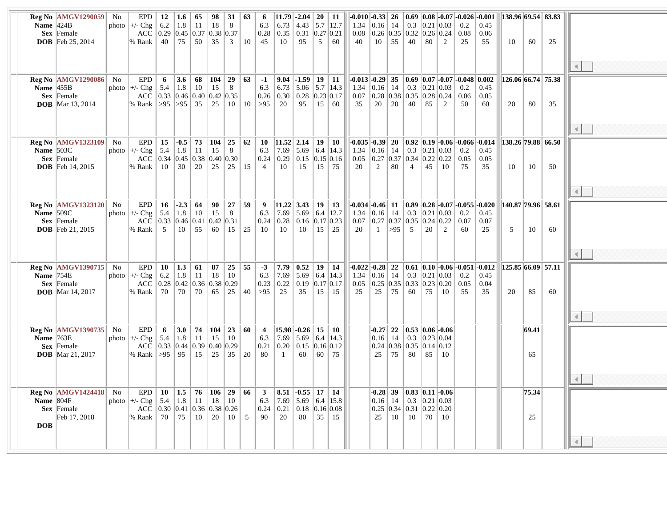|               | <b>Reg No  AMGV1290059  </b>      | No | EPD                                                                | 12                                                       | $1.6\phantom{0}$ | 65                                                       | 98  | 31              | 63             | 6              |                | $11.79$ -2.04   20                       |           | $\vert$ 11       | $-0.010$ $-0.33$ $26$ |                |             |                                    |                         |                                                                     | $\mid 0.69 \mid 0.08 \mid -0.07 \mid -0.026 \mid -0.001$         |                                                                                                        | 138.96 69.54 83.83                                 |       |    |                          |  |
|---------------|-----------------------------------|----|--------------------------------------------------------------------|----------------------------------------------------------|------------------|----------------------------------------------------------|-----|-----------------|----------------|----------------|----------------|------------------------------------------|-----------|------------------|-----------------------|----------------|-------------|------------------------------------|-------------------------|---------------------------------------------------------------------|------------------------------------------------------------------|--------------------------------------------------------------------------------------------------------|----------------------------------------------------|-------|----|--------------------------|--|
| Name $ 424B $ |                                   |    | photo $\left +\right $ - Chg                                       | 6.2                                                      | 1.8              | -11                                                      | 18  | 8               |                | 6.3            | 6.73           | 4.43                                     |           | $5.7$  12.7      | 1.34                  | $ 0.16 $ 14    |             | 0.3                                |                         | 0.21 0.03                                                           | 0.2                                                              | 0.45                                                                                                   |                                                    |       |    |                          |  |
|               | <b>Sex</b> Female                 |    |                                                                    | ACC   0.29 $ 0.45 0.37 0.38 0.37$                        |                  |                                                          |     |                 |                | 0.28           | 0.35           | $\vert 0.31 \vert$                       | 0.27 0.21 |                  | 0.08                  |                |             |                                    |                         | 0.26 0.35 0.32 0.26 0.24                                            | 0.08                                                             | 0.06                                                                                                   |                                                    |       |    |                          |  |
|               |                                   |    |                                                                    |                                                          |                  | 50                                                       |     |                 |                |                |                |                                          | 5         | 60               |                       |                |             |                                    | 80                      | $\mathcal{L}$                                                       |                                                                  |                                                                                                        |                                                    |       |    |                          |  |
|               | <b>DOB</b> Feb 25, 2014           |    | % Rank                                                             | 40                                                       | 75               |                                                          | 35  | 3               | 10             | 45             | 10             | 95                                       |           |                  | 40                    | 10             | 55          | 40                                 |                         |                                                                     | 25                                                               | 55                                                                                                     | 10                                                 | 60    | 25 |                          |  |
|               |                                   |    |                                                                    |                                                          |                  |                                                          |     |                 |                |                |                |                                          |           |                  |                       |                |             |                                    |                         |                                                                     |                                                                  |                                                                                                        |                                                    |       |    |                          |  |
|               |                                   |    |                                                                    |                                                          |                  |                                                          |     |                 |                |                |                |                                          |           |                  |                       |                |             |                                    |                         |                                                                     |                                                                  |                                                                                                        |                                                    |       |    |                          |  |
|               |                                   |    |                                                                    |                                                          |                  |                                                          |     |                 |                |                |                |                                          |           |                  |                       |                |             |                                    |                         |                                                                     |                                                                  |                                                                                                        |                                                    |       |    |                          |  |
|               |                                   |    |                                                                    |                                                          |                  |                                                          |     |                 |                |                |                |                                          |           |                  |                       |                |             |                                    |                         |                                                                     |                                                                  |                                                                                                        |                                                    |       |    |                          |  |
|               | <b>Reg No  AMGV1290086  </b>      | No | <b>EPD</b>                                                         | 6                                                        | 3.6              | 68                                                       | 104 | 29              | 63             | $-1$           |                | $9.04$ -1.59                             |           | $19 \mid 11$     |                       |                |             |                                    |                         |                                                                     | $-0.013$ $-0.29$   35   0.69   0.07   $-0.07$   $-0.048$   0.002 |                                                                                                        | $\left  126.06 \right  66.74 \left  75.38 \right $ |       |    |                          |  |
| Name $ 455B $ |                                   |    | photo $\left +\right $ - Chg                                       | 5.4                                                      | 1.8              | 10                                                       | 15  | 8               |                | 6.3            | 6.73           | $5.06$   5.7   14.3                      |           |                  | $1.34 \mid 0.16 \mid$ |                | $\vert$ 14  | 0.3                                |                         | 0.21 0.03                                                           | 0.2                                                              | 0.45                                                                                                   |                                                    |       |    |                          |  |
|               | Sex Female                        |    | ACC                                                                | $\vert 0.33 \vert 0.46 \vert 0.40 \vert 0.42 \vert 0.35$ |                  |                                                          |     |                 |                | 0.26           | 0.30           | 0.28                                     | 0.23 0.17 |                  | 0.07                  |                |             |                                    |                         | $\vert 0.28 \vert 0.38 \vert 0.35 \vert 0.28 \vert 0.24 \vert$      | 0.06                                                             | 0.05                                                                                                   |                                                    |       |    |                          |  |
|               | <b>DOB</b> Mar 13, 2014           |    | % Rank   > 95   > 95                                               |                                                          |                  | 35                                                       | 25  | 10              | 10             | >95            | 20             | 95                                       |           | $15 \, \, 60$    | 35                    | 20             | 20          | 40                                 | 85                      | 2                                                                   | 50                                                               | 60                                                                                                     | 20                                                 | 80    | 35 |                          |  |
|               |                                   |    |                                                                    |                                                          |                  |                                                          |     |                 |                |                |                |                                          |           |                  |                       |                |             |                                    |                         |                                                                     |                                                                  |                                                                                                        |                                                    |       |    |                          |  |
|               |                                   |    |                                                                    |                                                          |                  |                                                          |     |                 |                |                |                |                                          |           |                  |                       |                |             |                                    |                         |                                                                     |                                                                  |                                                                                                        |                                                    |       |    |                          |  |
|               |                                   |    |                                                                    |                                                          |                  |                                                          |     |                 |                |                |                |                                          |           |                  |                       |                |             |                                    |                         |                                                                     |                                                                  |                                                                                                        |                                                    |       |    |                          |  |
|               |                                   |    |                                                                    |                                                          |                  |                                                          |     |                 |                |                |                |                                          |           |                  |                       |                |             |                                    |                         |                                                                     |                                                                  |                                                                                                        |                                                    |       |    |                          |  |
|               | $\text{Reg No}$  AMGV1323109   No |    | EPD                                                                | 15                                                       | $-0.5$           | 73                                                       | 104 | 25              | 62             | 10             | $ 11.52 $ 2.14 |                                          | 19        | $\vert$ 10       | $-0.035$ $-0.39$ $20$ |                |             |                                    |                         |                                                                     |                                                                  | 0.92   0.19   -0.06   -0.066   -0.014                                                                  | $ 138.26 79.88 $ 66.50                             |       |    |                          |  |
| Name $ 503C$  |                                   |    | photo $\left +\right $ - Chg                                       | 5.4                                                      | 1.8              | 11                                                       | 15  | 8               |                | 6.3            | 7.69           | 5.69                                     |           | 6.4 14.3         | 1.34 $ 0.16 $ 14      |                |             | 0.3                                |                         | 0.21 0.03                                                           | 0.2                                                              | 0.45                                                                                                   |                                                    |       |    |                          |  |
|               | Sex Female                        |    | ACC $\vert 0.34 \vert 0.45 \vert 0.38 \vert 0.40 \vert 0.30$       |                                                          |                  |                                                          |     |                 |                | 0.24           | 0.29           | $\vert 0.15 \vert 0.15 \vert 0.16 \vert$ |           |                  |                       |                |             |                                    |                         | $0.05$   0.27   0.37   0.34   0.22   0.22   0.05                    |                                                                  | 0.05                                                                                                   |                                                    |       |    |                          |  |
|               |                                   |    |                                                                    |                                                          | 30               | 20                                                       |     |                 |                |                |                |                                          |           | $15 \mid 75$     |                       |                |             |                                    |                         | 10                                                                  |                                                                  |                                                                                                        | 10                                                 |       |    |                          |  |
|               | <b>DOB</b> Feb 14, 2015           |    | % Rank   10                                                        |                                                          |                  |                                                          | 25  | $25 \vert$      | 15             | $\overline{4}$ | 10             | 15                                       |           |                  | 20                    | $\overline{2}$ | 80          | $\overline{4}$                     | 45                      |                                                                     | 75                                                               | 35                                                                                                     |                                                    | 10    | 50 |                          |  |
|               |                                   |    |                                                                    |                                                          |                  |                                                          |     |                 |                |                |                |                                          |           |                  |                       |                |             |                                    |                         |                                                                     |                                                                  |                                                                                                        |                                                    |       |    |                          |  |
|               |                                   |    |                                                                    |                                                          |                  |                                                          |     |                 |                |                |                |                                          |           |                  |                       |                |             |                                    |                         |                                                                     |                                                                  |                                                                                                        |                                                    |       |    |                          |  |
|               |                                   |    |                                                                    |                                                          |                  |                                                          |     |                 |                |                |                |                                          |           |                  |                       |                |             |                                    |                         |                                                                     |                                                                  |                                                                                                        |                                                    |       |    |                          |  |
|               |                                   |    |                                                                    |                                                          |                  |                                                          |     |                 |                |                |                |                                          |           |                  |                       |                |             |                                    |                         |                                                                     |                                                                  | $\left  -0.034 \right $ -0.46   11   0.89   0.28 $\left  -0.07 \right $ -0.055 $\left  -0.020 \right $ |                                                    |       |    |                          |  |
|               | <b>Reg No  AMGV1323120  </b>      | No | EPD                                                                |                                                          | $16$ -2.3        | 64                                                       | 90  | 27              | 59             | 9              | $ 11.22 $ 3.43 |                                          |           | $19 \mid 13$     |                       |                |             |                                    |                         |                                                                     |                                                                  |                                                                                                        | 140.87  79.96  58.61                               |       |    |                          |  |
| Name $509C$   |                                   |    | photo $\left +\right $ - Chg                                       | 5.4                                                      | $\vert 1.8$      | 10                                                       | 15  | 8               |                | 6.3            | 7.69           | 5.69                                     |           | $6.4 \vert 12.7$ | 1.34 $ 0.16 $ 14      |                |             | 0.3                                |                         | 0.21 0.03 0.2                                                       |                                                                  | 0.45                                                                                                   |                                                    |       |    |                          |  |
|               | Sex Female                        |    | ACC $\vert 0.33 \vert 0.46 \vert 0.41 \vert 0.42 \vert 0.31$       |                                                          |                  |                                                          |     |                 |                | 0.24           | 0.28           | $\vert 0.16 \vert 0.17 \vert 0.23 \vert$ |           |                  |                       |                |             |                                    |                         | 0.07 $\vert 0.27 \vert 0.37 \vert 0.35 \vert 0.24 \vert 0.22 \vert$ | 0.07                                                             | 0.07                                                                                                   |                                                    |       |    |                          |  |
|               | <b>DOB</b> Feb 21, 2015           |    | % Rank                                                             | 5                                                        | 10               | 55                                                       | 60  | 15              | 25             | -10            | 10             | 10                                       | 15        | $\frac{25}{2}$   | 20                    | $\pm$          | >95         | $5^{\circ}$                        | 20                      | 2                                                                   | 60                                                               | 25                                                                                                     | 5                                                  | 10    | 60 |                          |  |
|               |                                   |    |                                                                    |                                                          |                  |                                                          |     |                 |                |                |                |                                          |           |                  |                       |                |             |                                    |                         |                                                                     |                                                                  |                                                                                                        |                                                    |       |    |                          |  |
|               |                                   |    |                                                                    |                                                          |                  |                                                          |     |                 |                |                |                |                                          |           |                  |                       |                |             |                                    |                         |                                                                     |                                                                  |                                                                                                        |                                                    |       |    |                          |  |
|               |                                   |    |                                                                    |                                                          |                  |                                                          |     |                 |                |                |                |                                          |           |                  |                       |                |             |                                    |                         |                                                                     |                                                                  |                                                                                                        |                                                    |       |    |                          |  |
|               |                                   |    |                                                                    |                                                          |                  |                                                          |     |                 |                |                |                |                                          |           |                  |                       |                |             |                                    |                         |                                                                     |                                                                  |                                                                                                        |                                                    |       |    |                          |  |
|               | <b>Reg No  AMGV1390715  </b>      | No | EPD                                                                | 10                                                       | 1.3              | 61                                                       | 87  | $25 \mid 55$    |                | $-3$           | 7.79           | $\vert$ 0.52                             |           | $19 \mid 14$     | $-0.022$ $-0.28$      |                |             |                                    |                         |                                                                     |                                                                  | 22   0.61   0.10   -0.06   -0.051   -0.012                                                             | 125.85 66.09 57.11                                 |       |    |                          |  |
| Name $ 754E$  |                                   |    | photo $\left +\right $ - Chg                                       | 6.2                                                      | 1.8              | 11                                                       | 18  | 10              |                | 6.3            | 7.69           | 5.69                                     |           | 6.4 14.3         | $1.34 \pm 0.16$       |                | 14          | 0.3                                |                         | 0.21 0.03                                                           | 0.2                                                              | 0.45                                                                                                   |                                                    |       |    |                          |  |
|               | Sex Female                        |    | ACC                                                                |                                                          |                  | $\vert 0.28 \vert 0.42 \vert 0.36 \vert 0.38 \vert 0.29$ |     |                 |                | 0.23           | 0.22           | 0.19                                     | 0.17 0.17 |                  | 0.05                  |                |             |                                    |                         | $\vert 0.25 \vert 0.35 \vert 0.33 \vert 0.23 \vert 0.20 \vert 0.05$ |                                                                  | 0.04                                                                                                   |                                                    |       |    |                          |  |
|               | <b>DOB</b> Mar 14, 2017           |    | % Rank                                                             | 70                                                       | 70               | 70                                                       | 65  | $25 \,   \, 40$ |                | $>95$          | 25             | 35                                       |           | $15 \;   \; 15$  | 25                    | 25             | 75          | 60                                 | 75                      | 10                                                                  | 55                                                               | 35                                                                                                     | 20                                                 | 85    | 60 |                          |  |
|               |                                   |    |                                                                    |                                                          |                  |                                                          |     |                 |                |                |                |                                          |           |                  |                       |                |             |                                    |                         |                                                                     |                                                                  |                                                                                                        |                                                    |       |    |                          |  |
|               |                                   |    |                                                                    |                                                          |                  |                                                          |     |                 |                |                |                |                                          |           |                  |                       |                |             |                                    |                         |                                                                     |                                                                  |                                                                                                        |                                                    |       |    |                          |  |
|               |                                   |    |                                                                    |                                                          |                  |                                                          |     |                 |                |                |                |                                          |           |                  |                       |                |             |                                    |                         |                                                                     |                                                                  |                                                                                                        |                                                    |       |    |                          |  |
|               |                                   |    |                                                                    |                                                          |                  |                                                          |     |                 |                |                |                |                                          |           |                  |                       |                |             |                                    |                         |                                                                     |                                                                  |                                                                                                        |                                                    |       |    |                          |  |
|               | <b>Reg No  AMGV1390735   No</b>   |    | EPD                                                                | -6                                                       | 3.0              | 74                                                       | 104 | $23 \,   \, 60$ |                | $\overline{4}$ |                | $ 15.98  -0.26 $                         | 15        | $\vert$ 10       |                       |                |             |                                    |                         | $-0.27$   22   0.53   0.06   -0.06                                  |                                                                  |                                                                                                        |                                                    | 69.41 |    |                          |  |
| Name $ 763E$  |                                   |    | photo $\left +\right $ - Chg $\left -\right $                      | 5.4                                                      | 1.8              | 11                                                       | 15  | 10              |                | 6.3            | 7.69           | 5.69                                     |           | $6.4$  14.3      |                       | 0.16           | 14          |                                    | $0.3$ 0.23 0.04         |                                                                     |                                                                  |                                                                                                        |                                                    |       |    |                          |  |
|               | Sex Female                        |    | ACC $\vert 0.33 \vert 0.44 \vert 0.39 \vert 0.40 \vert 0.29$       |                                                          |                  |                                                          |     |                 |                | 0.21           | 0.20           | $\vert 0.15 \vert$                       | 0.16 0.12 |                  |                       |                |             | $0.24$   0.38   0.35   0.14   0.12 |                         |                                                                     |                                                                  |                                                                                                        |                                                    |       |    |                          |  |
|               | <b>DOB</b> Mar 21, 2017           |    | % Rank   > 95   95                                                 |                                                          |                  | 15                                                       | 25  | $35 \,   \, 20$ |                | 80             | $\overline{1}$ | 60                                       | 60        | $\vert$ 75       |                       | 25             | 75          | 80                                 | 85                      | -10                                                                 |                                                                  |                                                                                                        |                                                    | 65    |    |                          |  |
|               |                                   |    |                                                                    |                                                          |                  |                                                          |     |                 |                |                |                |                                          |           |                  |                       |                |             |                                    |                         |                                                                     |                                                                  |                                                                                                        |                                                    |       |    |                          |  |
|               |                                   |    |                                                                    |                                                          |                  |                                                          |     |                 |                |                |                |                                          |           |                  |                       |                |             |                                    |                         |                                                                     |                                                                  |                                                                                                        |                                                    |       |    |                          |  |
|               |                                   |    |                                                                    |                                                          |                  |                                                          |     |                 |                |                |                |                                          |           |                  |                       |                |             |                                    |                         |                                                                     |                                                                  |                                                                                                        |                                                    |       |    | $\left\  \cdot \right\ $ |  |
|               |                                   |    |                                                                    |                                                          |                  |                                                          |     |                 |                |                |                |                                          |           |                  |                       |                |             |                                    |                         |                                                                     |                                                                  |                                                                                                        |                                                    |       |    |                          |  |
|               | <b>Reg No  AMGV1424418 </b>       | No | EPD                                                                | 10                                                       | 1.5              | 76                                                       | 106 | 29              | 66             | $\mathbf{3}$   | 8.51           | $\vert$ -0.55   17   14                  |           |                  |                       | -0.28 $\mid$   | 39          |                                    |                         | $\mid 0.83 \mid 0.11 \mid -0.06$                                    |                                                                  |                                                                                                        |                                                    | 75.34 |    |                          |  |
| Name $ 804F $ |                                   |    | photo $\left +\right $ - Chg                                       | 5.4                                                      | 1.8              | -11                                                      | 18  | 10              |                | 6.3            | 7.69           | 5.69                                     |           | 6.4 15.8         |                       |                | $0.16$   14 |                                    | $0.3$   $0.21$   $0.03$ |                                                                     |                                                                  |                                                                                                        |                                                    |       |    |                          |  |
|               | <b>Sex</b> Female                 |    | ACC $\vert 0.30 \vert 0.41 \vert 0.36 \vert 0.38 \vert 0.26 \vert$ |                                                          |                  |                                                          |     |                 |                | 0.24           | 0.21           | $0.18$   0.16   0.08                     |           |                  |                       |                |             | $0.25$ 0.34 0.31 0.22 0.20         |                         |                                                                     |                                                                  |                                                                                                        |                                                    |       |    |                          |  |
|               | Feb 17, 2018                      |    | % Rank   70                                                        |                                                          | 75               | 10                                                       | 20  | 10              | $\overline{5}$ | 90             | 20             | 80                                       | 35        | $\vert$ 15       |                       | 25             | 10          | 10                                 | 70                      | 10                                                                  |                                                                  |                                                                                                        |                                                    | 25    |    |                          |  |
| <b>DOB</b>    |                                   |    |                                                                    |                                                          |                  |                                                          |     |                 |                |                |                |                                          |           |                  |                       |                |             |                                    |                         |                                                                     |                                                                  |                                                                                                        |                                                    |       |    |                          |  |
|               |                                   |    |                                                                    |                                                          |                  |                                                          |     |                 |                |                |                |                                          |           |                  |                       |                |             |                                    |                         |                                                                     |                                                                  |                                                                                                        |                                                    |       |    |                          |  |
|               |                                   |    |                                                                    |                                                          |                  |                                                          |     |                 |                |                |                |                                          |           |                  |                       |                |             |                                    |                         |                                                                     |                                                                  |                                                                                                        |                                                    |       |    |                          |  |
|               |                                   |    |                                                                    |                                                          |                  |                                                          |     |                 |                |                |                |                                          |           |                  |                       |                |             |                                    |                         |                                                                     |                                                                  |                                                                                                        |                                                    |       |    |                          |  |
|               |                                   |    |                                                                    |                                                          |                  |                                                          |     |                 |                |                |                |                                          |           |                  |                       |                |             |                                    |                         |                                                                     |                                                                  |                                                                                                        |                                                    |       |    |                          |  |